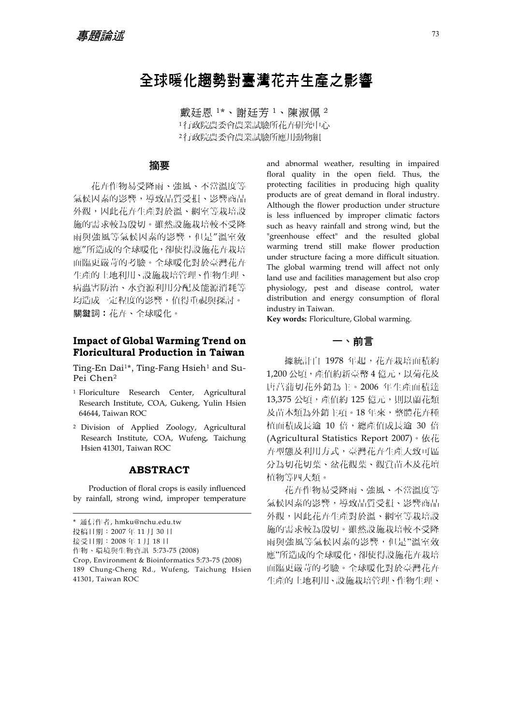# 全球暖化趨勢對臺灣花卉生產之影響

戴廷恩 1\*、謝廷芳 <sup>1</sup>、陳淑佩 <sup>2</sup> <sup>1</sup>行政院農委會農業試驗所花卉研究中心 <sup>2</sup>行政院農委會農業試驗所應用動物組

### 摘要

花卉作物易受降雨、強風、不當溫度等 氣候因素的影響,導致品質受損、影響商品 外觀,因此花卉生產對於溫、網室等栽培設 施的需求較為殷切。雖然設施栽培較不受降 雨與強風等氣候因素的影響,但是"溫室效 應"所造成的全球暖化,卻使得設施花卉栽培 面臨更嚴苛的考驗。全球暖化對於臺灣花卉 生產的土地利用、設施栽培管理、作物生理、 病蟲害防治、水資源利用分配及能源消耗等 均造成一定程度的影響,值得重視與探討。 關鍵詞︰花卉、全球暖化。

### **Impact of Global Warming Trend on Floricultural Production in Taiwan**

Ting-En Dai<sup>1\*</sup>, Ting-Fang Hsieh<sup>1</sup> and Su-Pei Chen2

- 1 Floriculture Research Center, Agricultural Research Institute, COA, Gukeng, Yulin Hsien 64644, Taiwan ROC
- 2 Division of Applied Zoology, Agricultural Research Institute, COA, Wufeng, Taichung Hsien 41301, Taiwan ROC

### **ABSTRACT**

Production of floral crops is easily influenced by rainfall, strong wind, improper temperature

and abnormal weather, resulting in impaired floral quality in the open field. Thus, the protecting facilities in producing high quality products are of great demand in floral industry. Although the flower production under structure is less influenced by improper climatic factors such as heavy rainfall and strong wind, but the "greenhouse effect" and the resulted global warming trend still make flower production under structure facing a more difficult situation. The global warming trend will affect not only land use and facilities management but also crop physiology, pest and disease control, water distribution and energy consumption of floral industry in Taiwan.

**Key words:** Floriculture, Global warming.

## 一、前言

據統計自 1978 年起,花卉栽培面積約 1,200公頃,產值約新臺幣 4 億元,以菊花及 唐菖蒲切花外銷為主。2006 年生產面積達 13,375 公頃,產值約 125 億元,則以蘭花類 及苗木類為外銷主項。18 年來,整體花卉種 植面積成長逾 10 倍,總產值成長逾 30 倍 (Agricultural Statistics Report 2007)。依花 卉型態及利用方式,臺灣花卉生產大致可區 分為切花切葉、盆花觀葉、觀賞苗木及花壇 植物等四大類。

花卉作物易受降雨、強風、不當溫度等 氣候因素的影響,導致品質受損、影響商品 外觀,因此花卉生產對於溫、網室等栽培設 施的需求較為殷切。雖然設施栽培較不受降 雨與強風等氣候因素的影響,但是"溫室效 應"所造成的全球暖化,卻使得設施花卉栽培 面臨更嚴苛的考驗。全球暖化對於臺灣花卉 生產的土地利用、設施栽培管理、作物生理、

<sup>\*</sup> 通信作者, hmku@nchu.edu.tw

投稿日期:2007 年 11 月 30 日

接受日期:2008 年 1 月 18 日

作物、環境與生物資訊 5:73-75 (2008)

Crop, Environment & Bioinformatics 5:73-75 (2008)

<sup>189</sup> Chung-Cheng Rd., Wufeng, Taichung Hsien 41301, Taiwan ROC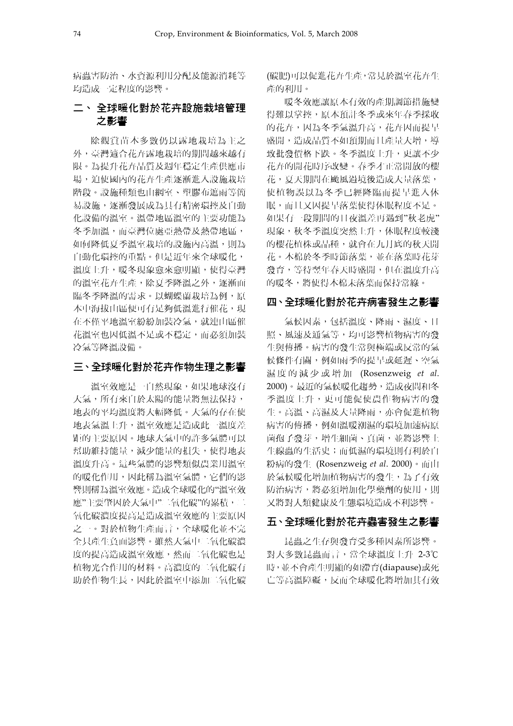病蟲害防治、水資源利用分配及能源消耗等 均造成一定程度的影響。

# 二、 全球暖化對於花卉設施栽培管理 之影響

除觀賞苗木多數仍以露地栽培為主之 外,臺灣適合花卉露地栽培的期間越來越有 限。為提升花卉品質及週年穩定生產供應市 場,迫使國內的花卉生產逐漸進入設施栽培 階段。設施種類也由網室、塑膠布遮雨等簡 易設施,逐漸發展成為具有精密環控及自動 化設備的溫室。溫帶地區溫室的主要功能為 冬季加溫,而臺灣位處亞熱帶及熱帶地區, 如何降低夏季溫室栽培的設施內高溫,則為 自動化環控的重點。但是近年來全球暖化, 溫度上升,暖冬現象愈來愈明顯,使得臺灣 的溫室花卉生產,除夏季降溫之外,逐漸面 臨冬季降溫的需求。以蝴蝶蘭栽培為例,原 本中海拔山區便可有足夠低溫進行催花,現 在不僅平地溫室紛紛加裝冷氣,就連山區催 花溫室也因低溫不足或不穩定,而必須加裝 冷氣等降溫設備。

### 三、全球暖化對於花卉作物生理之影響

溫室效應是一自然現象,如果地球沒有 大氣,所有來自於太陽的能量將無法保持, 地表的平均溫度將大幅降低。大氣的存在使 地表氣溫上升,溫室效應是造成此一溫度差 距的主要原因。地球大氣中的許多氣體可以 幫助維持能量,減少能量的損失,使得地表 溫度升高。這些氣體的影響類似農業用溫室 的暖化作用,因此稱為溫室氣體,它們的影 響則稱為溫室效應。造成全球暖化的"溫室效 應"主要肇因於大氣中"二氧化碳"的累積,二 氧化碳濃度提高是造成溫室效應的主要原因 之一。對於植物生產而言,全球暖化並不完 全只產生負面影響。雖然大氣中二氧化碳濃 度的提高造成溫室效應,然而二氧化碳也是 植物光合作用的材料。高濃度的二氧化碳有 助於作物生長,因此於溫室中添加二氧化碳 (碳肥)可以促進花卉生產,常見於溫室花卉生 產的利用。

暖冬效應讓原本有效的產期調節措施變 得難以掌控,原本預計冬季或來年春季採收 的花卉,因為冬季氣溫升高,花卉因而提早 盛開,造成品質不如預期而且產量大增,導 致批發價格下跌。冬季溫度上升,更讓不少 花卉的開花時序改變。春季才正常開放的櫻 花,夏天期間在颱風過境後造成大量落葉, 使植物誤以為冬季已經降臨而提早進入休 眠,而且又因提早落葉使得休眠程度不足。 如果有一段期間的日夜溫差再遇到"秋老虎" 現象,秋冬季溫度突然上升,休眠程度較淺 的櫻花植株或品種,就會在九月底的秋天開 花。木棉於冬季時節落葉,並在落葉時花芽 發育,等待翌年春天時盛開,但在溫度升高 的暖冬,將使得木棉未落葉而保持常綠。

#### 四、全球暖化對於花卉病害發生之影響

氣候因素,包括溫度、降雨、濕度、日 照、風速及通氣等,均可影響植物病害的發 生與傳播。病害的發生常與極端或反常的氣 候條件有關,例如雨季的提早或延遲、空氣 濕度的減少或增加 (Rosenzweig *et al*. 2000)。最近的氣候暖化趨勢,造成夜間和冬 季溫度上升,更可能促使農作物病害的發 生。高溫、高濕及大量降雨,亦會促進植物 病害的傳播,例如溫暖潮濕的環境加速病原 菌孢子發芽,增生細菌、真菌,並將影響土 生線蟲的生活史;而低濕的環境則有利於白 粉病的發生 (Rosenzweig *et al*. 2000)。而由 於氣候暖化增加植物病害的發生,為了有效 防治病害,將必須增加化學藥劑的使用,則 又將對人類健康及生態環境造成不利影響。

#### 五、全球暖化對於花卉蟲害發生之影響

昆蟲之生存與發育受多種因素所影響。 對大多數昆蟲而言,當全球溫度上升 2-3℃ 時,並不會產生明顯的如滯育(diapause)或死 亡等高溫障礙,反而全球暖化將增加其有效